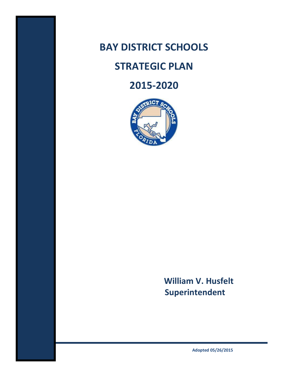

# **STRATEGIC PLAN**

# **2015-2020**



# **William V. Husfelt Superintendent**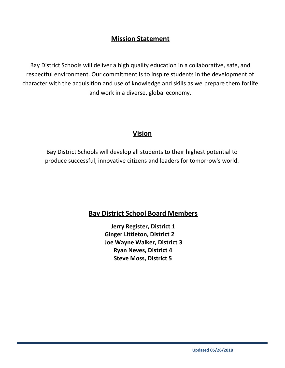## **Mission Statement**

Bay District Schools will deliver a high quality education in a collaborative, safe, and respectful environment. Our commitment is to inspire students in the development of character with the acquisition and use of knowledge and skills as we prepare them forlife and work in a diverse, global economy.

### **Vision**

Bay District Schools will develop all students to their highest potential to produce successful, innovative citizens and leaders for tomorrow's world.

### **Bay District School Board Members**

**Jerry Register, District 1 Ginger Littleton, District 2 Joe Wayne Walker, District 3 Ryan Neves, District 4 Steve Moss, District 5**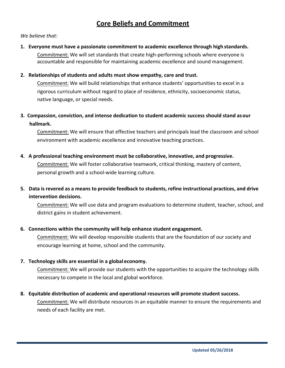### **Core Beliefs and Commitment**

#### *We believe that:*

**1. Everyone must have a passionate commitment to academic excellence through high standards.** Commitment: We will set standards that create high-performing schools where everyone is accountable and responsible for maintaining academic excellence and sound management.

#### **2. Relationships of students and adults must show empathy, care and trust.**

Commitment: We will build relationships that enhance students' opportunities to excel in a rigorous curriculum without regard to place of residence, ethnicity, socioeconomic status, native language, or special needs.

**3. Compassion, conviction, and intense dedication to student academic success should stand asour hallmark.**

Commitment: We will ensure that effective teachers and principals lead the classroom and school environment with academic excellence and innovative teaching practices.

**4. A professional teaching environment must be collaborative, innovative, and progressive.**

Commitment: We will foster collaborative teamwork, critical thinking, mastery of content, personal growth and a school-wide learning culture.

**5. Data is revered as a means to provide feedback to students, refine instructional practices, and drive intervention decisions.**

Commitment: We will use data and program evaluations to determine student, teacher, school, and district gains in student achievement.

#### **6. Connections within the community will help enhance student engagement.**

Commitment: We will develop responsible students that are the foundation of our society and encourage learning at home, school and the community.

#### **7. Technology skills are essential in a global economy.**

Commitment: We will provide our students with the opportunities to acquire the technology skills necessary to compete in the local and global workforce.

#### 8. Equitable distribution of academic and operational resources will promote student success.

Commitment: We will distribute resources in an equitable manner to ensure the requirements and needs of each facility are met.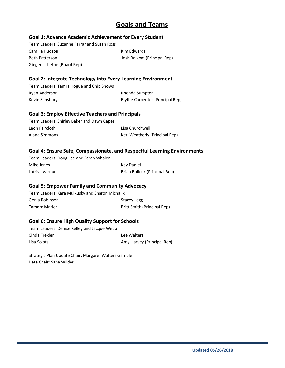### **Goals and Teams**

#### **Goal 1: Advance Academic Achievement for Every Student**

Team Leaders: Suzanne Farrar and Susan Ross Camilla Hudson Kim Edwards Beth Patterson **Balkom (Principal Rep)** Josh Balkom (Principal Rep)

Ginger Littleton (Board Rep)

#### **Goal 2: Integrate Technology into Every Learning Environment**

Team Leaders: Tamra Hogue and Chip Shows Ryan Anderson **Rhonda** Sumpter Kevin Sansbury **Blythe Carpenter (Principal Rep)** 

#### **Goal 3: Employ Effective Teachers and Principals**

| Team Leaders: Shirley Baker and Dawn Capes |                                |
|--------------------------------------------|--------------------------------|
| Leon Faircloth                             | Lisa Churchwell                |
| Alana Simmons                              | Keri Weatherly (Principal Rep) |

### **Goal 4: Ensure Safe, Compassionate, and Respectful Learning Environments**

| Team Leaders: Doug Lee and Sarah Whaler |                               |
|-----------------------------------------|-------------------------------|
| Mike Jones                              | Kav Daniel                    |
| Latriva Varnum                          | Brian Bullock (Principal Rep) |

#### **Goal 5: Empower Family and Community Advocacy**

Team Leaders: Kara Mulkusky and Sharon Michalik Genia Robinson Stacey Legg Tamara Marler **Britt Smith (Principal Rep)** 

#### **Goal 6: Ensure High Quality Support for Schools**

Team Leaders: Denise Kelley and Jacque Webb Cinda Trexler **Lee Walters** Lisa Solots **Amy Harvey (Principal Rep)** 

Strategic Plan Update Chair: Margaret Walters Gamble Data Chair: Sana Wilder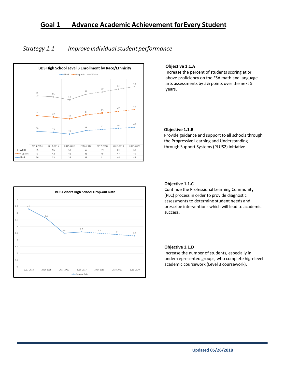### **Goal 1 Advance Academic Achievement forEvery Student**

### *Strategy 1.1 Improve individualstudent performance*



#### **Objective 1.1.A**

Increase the percent of students scoring at or above proficiency on the FSA math and language arts assessments by 5% points over the next 5 years.

#### **Objective 1.1.B**

Provide guidance and support to all schools through the Progressive Learning and Understanding through Support Systems (PLUS2) initiative.



#### **Objective 1.1.C**

Continue the Professional Learning Community (PLC) process in order to provide diagnostic assessments to determine student needs and prescribe interventions which will lead to academic success.

#### **Objective 1.1.D**

Increase the number of students, especially in under-represented groups, who complete high-level academic coursework (Level 3 coursework).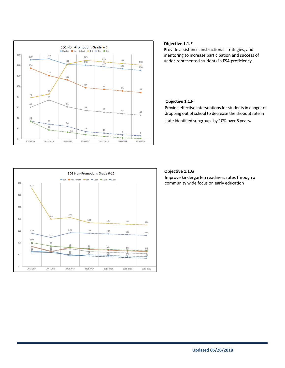

#### **Objective 1.1.E**

Provide assistance, instructional strategies, and mentoring to increase participation and success of under-represented students in FSA proficiency.

#### **Objective 1.1.F**

Provide effective interventions for students in danger of dropping out of school to decrease the dropout rate in

state identified subgroups by 10% over 5 years.



#### **Objective 1.1.G**

Improve kindergarten readiness rates through a community wide focus on early education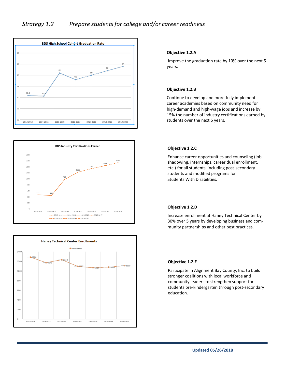





#### **Objective 1.2.A**

Improve the graduation rate by 10% over the next 5 years.

#### **Objective 1.2.B**

Continue to develop and more fully implement career academies based on community need for high-demand and high-wage jobs and increase by 15% the number of industry certifications earned by students over the next 5 years.

#### **Objective 1.2.C**

Enhance career opportunities and counseling (job shadowing, internships, career dual enrollment, etc.) for all students, including post-secondary students and modified programs for Students With Disabilities.

#### **Objective 1.2.D**

Increase enrollment at Haney Technical Center by 30% over 5 years by developing business and community partnerships and other best practices.

#### **Objective 1.2.E**

Participate in Alignment Bay County, Inc. to build stronger coalitions with local workforce and community leaders to strengthen support for students pre-kindergarten through post-secondary education.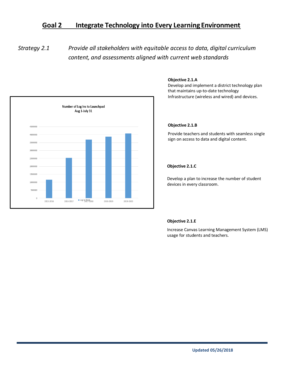### **Goal 2 Integrate Technology into Every Learning Environment**

*Strategy 2.1 Provide all stakeholders with equitable access to data, digital curriculum content, and assessments aligned with current web standards*



#### **Objective 2.1.A**

Develop and implement a district technology plan that maintains up-to-date technology Infrastructure (wireless and wired) and devices.

#### **Objective 2.1.B**

Provide teachers and students with seamless single sign on access to data and digital content.

#### **Objective 2.1.C**

Develop a plan to increase the number of student devices in every classroom.

#### **Objective 2.1.E**

Increase Canvas Learning Management System (LMS) usage for students and teachers.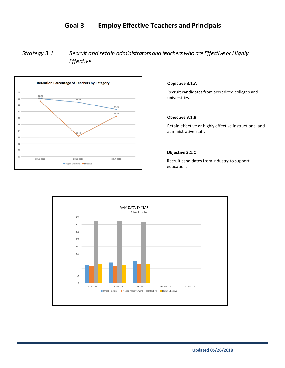### **Goal 3 Employ Effective Teachers and Principals**

### *Strategy 3.1 Recruit and retain administratorsand teacherswhoare EffectiveorHighly Effective*



#### **Objective 3.1.A**

Recruit candidates from accredited colleges and universities.

#### **Objective 3.1.B**

Retain effective or highly effective instructional and administrative staff.

#### **Objective 3.1.C**

Recruit candidates from industry to support education.

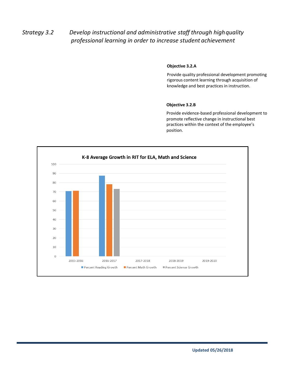### *Strategy 3.2 Develop instructional and administrative staff through highquality professional learning in order to increase student achievement*

#### **Objective 3.2.A**

Provide quality professional development promoting rigorous content learning through acquisition of knowledge and best practices in instruction.

#### **Objective 3.2.B**

Provide evidence-based professional development to promote reflective change in instructional best practices within the context of the employee's position.

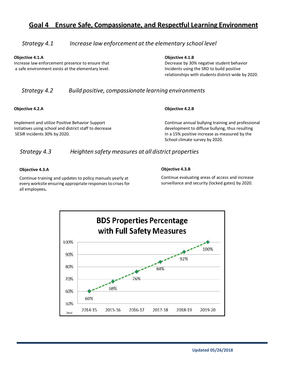### **Goal 4 Ensure Safe, Compassionate, and Respectful Learning Environment**

#### *Strategy 4.1 Increase law enforcement at the elementary school level*

**Objective 4.1.A Objective 4.1.B**

Increase law enforcement presence to ensure that Decrease by 30% negative student behavior a safe environment exists at the elementary level. Incidents using the SRD to build positive

relationships with students district-wide by 2020.

### *Strategy 4.2 Build positive, compassionate learning environments*

**Objective 4.2.A Objective 4.2.B**

Implement and utilize Positive Behavior Support Continue annual bullying training and professional initiatives using school and district staff to decrease development to diffuse bullying, thus resulting SESIR incidents 30% by 2020. In a 15% positive increase as measured by the

School climate survey by 2020.

### *Strategy 4.3 Heighten safety measures at all district properties*

#### **Objective 4.3.A**

**Objective 4.3.B**

Continue training and updates to policy manuals yearly at every worksite ensuring appropriate responses to crises for all employees.

Continue evaluating areas of access and increase surveillance and security (locked gates) by 2020.

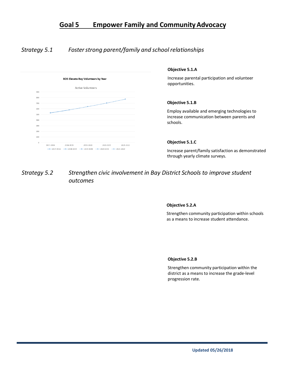### **Goal 5 Empower Family and CommunityAdvocacy**

### *Strategy 5.1 Fosterstrong parent/family and schoolrelationships*



### *Strategy 5.2 Strengthen civic involvement in Bay District Schools to improve student outcomes*

#### **Objective 5.2.A**

Strengthen community participation within schools as a means to increase student attendance.

#### **Objective 5.2.B**

Strengthen community participation within the district as a means to increase the grade-level progression rate.